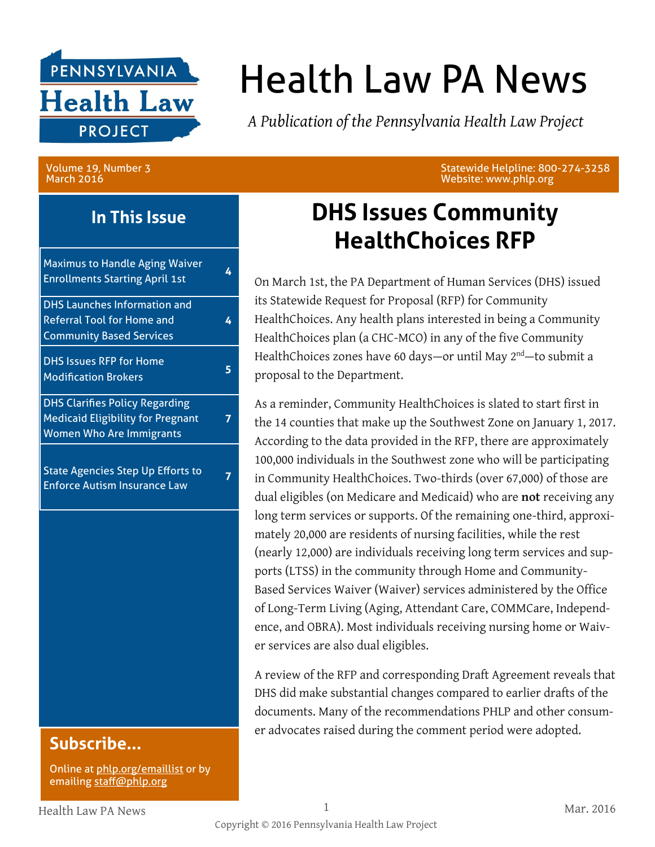

# Health Law PA News

*A Publication of the Pennsylvania Health Law Project*

Volume 19, Number 3 March 2016

**In This Issue**

| <b>Maximus to Handle Aging Waiver</b><br><b>Enrollments Starting April 1st</b>                                       | 4 |
|----------------------------------------------------------------------------------------------------------------------|---|
| <b>DHS Launches Information and</b><br><b>Referral Tool for Home and</b><br><b>Community Based Services</b>          | 4 |
| <b>DHS Issues RFP for Home</b><br><b>Modification Brokers</b>                                                        | 5 |
| <b>DHS Clarifies Policy Regarding</b><br><b>Medicaid Eligibility for Pregnant</b><br><b>Women Who Are Immigrants</b> |   |
| <b>State Agencies Step Up Efforts to</b><br><b>Enforce Autism Insurance Law</b>                                      |   |
|                                                                                                                      |   |
|                                                                                                                      |   |

### **Subscribe...**

Online at [phlp.org/emaillist](http://www.phlp.org/home-page/emaillist) or by emailing [staff@phlp.org](mailto:staff@phlp.org)

Statewide Helpline: 800-274-3258 Website: www.phlp.org

### **DHS Issues Community HealthChoices RFP**

On March 1st, the PA Department of Human Services (DHS) issued its Statewide Request for Proposal (RFP) for Community HealthChoices. Any health plans interested in being a Community HealthChoices plan (a CHC-MCO) in any of the five Community HealthChoices zones have 60 days—or until May 2<sup>nd</sup>—to submit a proposal to the Department.

As a reminder, Community HealthChoices is slated to start first in the 14 counties that make up the Southwest Zone on January 1, 2017. According to the data provided in the RFP, there are approximately 100,000 individuals in the Southwest zone who will be participating in Community HealthChoices. Two-thirds (over 67,000) of those are dual eligibles (on Medicare and Medicaid) who are **not** receiving any long term services or supports. Of the remaining one-third, approximately 20,000 are residents of nursing facilities, while the rest (nearly 12,000) are individuals receiving long term services and supports (LTSS) in the community through Home and Community-Based Services Waiver (Waiver) services administered by the Office of Long-Term Living (Aging, Attendant Care, COMMCare, Independence, and OBRA). Most individuals receiving nursing home or Waiver services are also dual eligibles.

A review of the RFP and corresponding Draft Agreement reveals that DHS did make substantial changes compared to earlier drafts of the documents. Many of the recommendations PHLP and other consumer advocates raised during the comment period were adopted.

Health Law PA News 1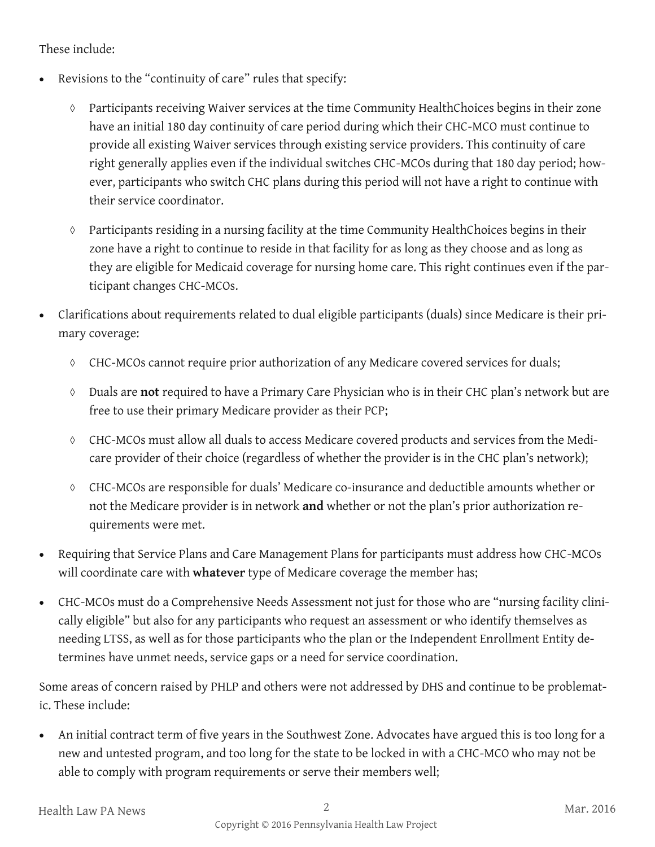#### These include:

- Revisions to the "continuity of care" rules that specify:
	- Participants receiving Waiver services at the time Community HealthChoices begins in their zone have an initial 180 day continuity of care period during which their CHC-MCO must continue to provide all existing Waiver services through existing service providers. This continuity of care right generally applies even if the individual switches CHC-MCOs during that 180 day period; however, participants who switch CHC plans during this period will not have a right to continue with their service coordinator.
	- Participants residing in a nursing facility at the time Community HealthChoices begins in their zone have a right to continue to reside in that facility for as long as they choose and as long as they are eligible for Medicaid coverage for nursing home care. This right continues even if the participant changes CHC-MCOs.
- Clarifications about requirements related to dual eligible participants (duals) since Medicare is their primary coverage:
	- CHC-MCOs cannot require prior authorization of any Medicare covered services for duals;
	- Duals are **not** required to have a Primary Care Physician who is in their CHC plan's network but are free to use their primary Medicare provider as their PCP;
	- CHC-MCOs must allow all duals to access Medicare covered products and services from the Medicare provider of their choice (regardless of whether the provider is in the CHC plan's network);
	- CHC-MCOs are responsible for duals' Medicare co-insurance and deductible amounts whether or not the Medicare provider is in network **and** whether or not the plan's prior authorization requirements were met.
- Requiring that Service Plans and Care Management Plans for participants must address how CHC-MCOs will coordinate care with **whatever** type of Medicare coverage the member has;
- CHC-MCOs must do a Comprehensive Needs Assessment not just for those who are "nursing facility clinically eligible" but also for any participants who request an assessment or who identify themselves as needing LTSS, as well as for those participants who the plan or the Independent Enrollment Entity determines have unmet needs, service gaps or a need for service coordination.

Some areas of concern raised by PHLP and others were not addressed by DHS and continue to be problematic. These include:

 An initial contract term of five years in the Southwest Zone. Advocates have argued this is too long for a new and untested program, and too long for the state to be locked in with a CHC-MCO who may not be able to comply with program requirements or serve their members well;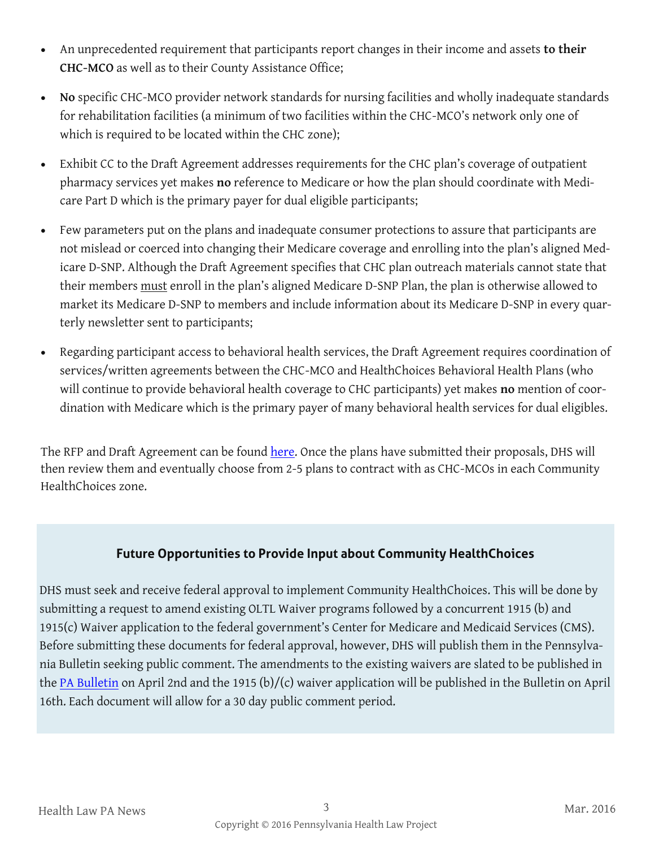- An unprecedented requirement that participants report changes in their income and assets **to their CHC-MCO** as well as to their County Assistance Office;
- **No** specific CHC-MCO provider network standards for nursing facilities and wholly inadequate standards for rehabilitation facilities (a minimum of two facilities within the CHC-MCO's network only one of which is required to be located within the CHC zone);
- Exhibit CC to the Draft Agreement addresses requirements for the CHC plan's coverage of outpatient pharmacy services yet makes **no** reference to Medicare or how the plan should coordinate with Medicare Part D which is the primary payer for dual eligible participants;
- Few parameters put on the plans and inadequate consumer protections to assure that participants are not mislead or coerced into changing their Medicare coverage and enrolling into the plan's aligned Medicare D-SNP. Although the Draft Agreement specifies that CHC plan outreach materials cannot state that their members must enroll in the plan's aligned Medicare D-SNP Plan, the plan is otherwise allowed to market its Medicare D-SNP to members and include information about its Medicare D-SNP in every quarterly newsletter sent to participants;
- Regarding participant access to behavioral health services, the Draft Agreement requires coordination of services/written agreements between the CHC-MCO and HealthChoices Behavioral Health Plans (who will continue to provide behavioral health coverage to CHC participants) yet makes **no** mention of coordination with Medicare which is the primary payer of many behavioral health services for dual eligibles.

The RFP and Draft Agreement can be found [here.](http://www.dhs.pa.gov/citizens/communityhealthchoices/rfpprgmrqrmnts/index.htm#.Vv2F0fkrJMw) Once the plans have submitted their proposals, DHS will then review them and eventually choose from 2-5 plans to contract with as CHC-MCOs in each Community HealthChoices zone.

#### **Future Opportunities to Provide Input about Community HealthChoices**

DHS must seek and receive federal approval to implement Community HealthChoices. This will be done by submitting a request to amend existing OLTL Waiver programs followed by a concurrent 1915 (b) and 1915(c) Waiver application to the federal government's Center for Medicare and Medicaid Services (CMS). Before submitting these documents for federal approval, however, DHS will publish them in the Pennsylvania Bulletin seeking public comment. The amendments to the existing waivers are slated to be published in the [PA Bulletin](http://www.pabulletin.com/index.asp) on April 2nd and the 1915 (b)/(c) waiver application will be published in the Bulletin on April 16th. Each document will allow for a 30 day public comment period.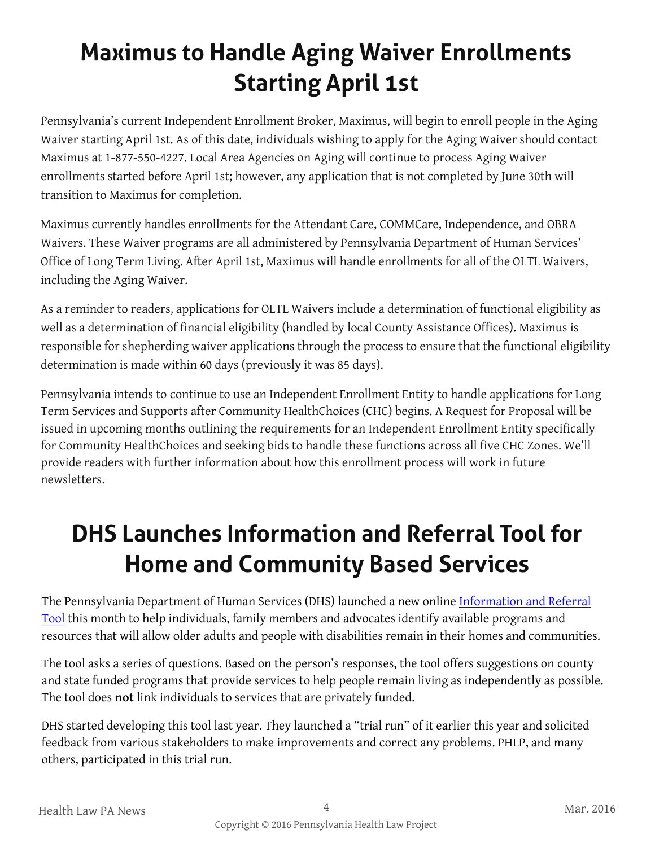# **Maximus to Handle Aging Waiver Enrollments Starting April 1st**

Pennsylvania's current Independent Enrollment Broker, Maximus, will begin to enroll people in the Aging Waiver starting April 1st. As of this date, individuals wishing to apply for the Aging Waiver should contact Maximus at 1-877-550-4227. Local Area Agencies on Aging will continue to process Aging Waiver enrollments started before April 1st; however, any application that is not completed by June 30th will transition to Maximus for completion.

Maximus currently handles enrollments for the Attendant Care, COMMCare, Independence, and OBRA Waivers. These Waiver programs are all administered by Pennsylvania Department of Human Services' Office of Long Term Living. After April 1st, Maximus will handle enrollments for all of the OLTL Waivers, including the Aging Waiver.

As a reminder to readers, applications for OLTL Waivers include a determination of functional eligibility as well as a determination of financial eligibility (handled by local County Assistance Offices). Maximus is responsible for shepherding waiver applications through the process to ensure that the functional eligibility determination is made within 60 days (previously it was 85 days).

Pennsylvania intends to continue to use an Independent Enrollment Entity to handle applications for Long Term Services and Supports after Community HealthChoices (CHC) begins. A Request for Proposal will be issued in upcoming months outlining the requirements for an Independent Enrollment Entity specifically for Community HealthChoices and seeking bids to handle these functions across all five CHC Zones. We'll provide readers with further information about how this enrollment process will work in future newsletters.

## **DHS Launches Information and Referral Tool for Home and Community Based Services**

The Pennsylvania Department of Human Services (DHS) launched a new online [Information and Referral](https://www.humanservices.state.pa.us/irt)  [Tool](https://www.humanservices.state.pa.us/irt) this month to help individuals, family members and advocates identify available programs and resources that will allow older adults and people with disabilities remain in their homes and communities.

The tool asks a series of questions. Based on the person's responses, the tool offers suggestions on county and state funded programs that provide services to help people remain living as independently as possible. The tool does **not** link individuals to services that are privately funded.

DHS started developing this tool last year. They launched a "trial run" of it earlier this year and solicited feedback from various stakeholders to make improvements and correct any problems. PHLP, and many others, participated in this trial run.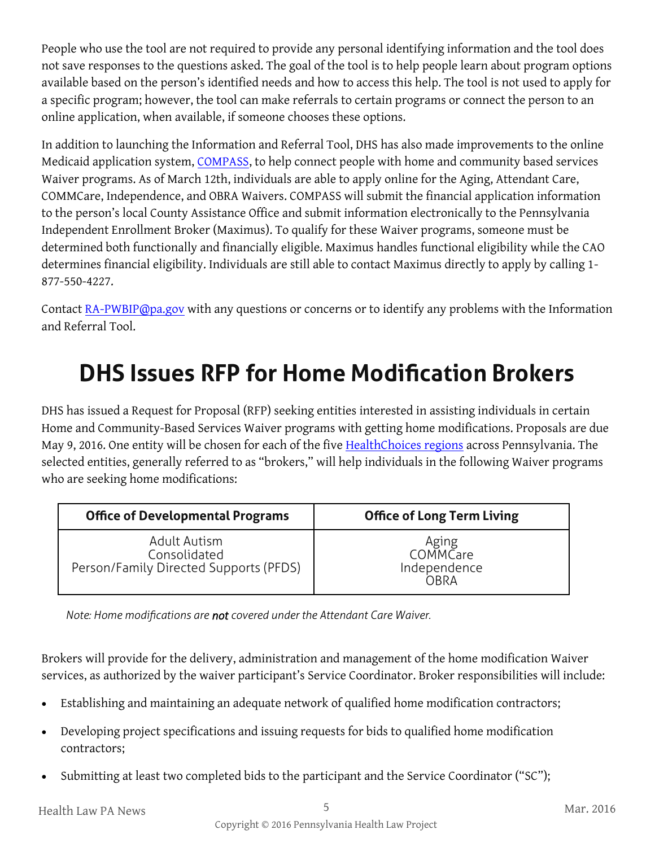People who use the tool are not required to provide any personal identifying information and the tool does not save responses to the questions asked. The goal of the tool is to help people learn about program options available based on the person's identified needs and how to access this help. The tool is not used to apply for a specific program; however, the tool can make referrals to certain programs or connect the person to an online application, when available, if someone chooses these options.

In addition to launching the Information and Referral Tool, DHS has also made improvements to the online Medicaid application system, [COMPASS,](http://www.compass.state.pa.us/) to help connect people with home and community based services Waiver programs. As of March 12th, individuals are able to apply online for the Aging, Attendant Care, COMMCare, Independence, and OBRA Waivers. COMPASS will submit the financial application information to the person's local County Assistance Office and submit information electronically to the Pennsylvania Independent Enrollment Broker (Maximus). To qualify for these Waiver programs, someone must be determined both functionally and financially eligible. Maximus handles functional eligibility while the CAO determines financial eligibility. Individuals are still able to contact Maximus directly to apply by calling 1- 877-550-4227.

Contact [RA-PWBIP@pa.gov](mailto:RA-PWBIP@pa.gov) with any questions or concerns or to identify any problems with the Information and Referral Tool.

### **DHS Issues RFP for Home Modification Brokers**

DHS has issued a Request for Proposal (RFP) seeking entities interested in assisting individuals in certain Home and Community-Based Services Waiver programs with getting home modifications. Proposals are due May 9, 2016. One entity will be chosen for each of the five **HealthChoices regions** across Pennsylvania. The selected entities, generally referred to as "brokers," will help individuals in the following Waiver programs who are seeking home modifications:

| <b>Office of Developmental Programs</b> | <b>Office of Long Term Living</b> |
|-----------------------------------------|-----------------------------------|
| Adult Autism                            | Aging<br>COMMCare                 |
| Consolidated                            | Independence                      |
| Person/Family Directed Supports (PFDS)  | OBRA                              |

*Note: Home modifications are not covered under the Attendant Care Waiver.*

Brokers will provide for the delivery, administration and management of the home modification Waiver services, as authorized by the waiver participant's Service Coordinator. Broker responsibilities will include:

- Establishing and maintaining an adequate network of qualified home modification contractors;
- Developing project specifications and issuing requests for bids to qualified home modification contractors;
- Submitting at least two completed bids to the participant and the Service Coordinator ("SC");

Health Law PA News 5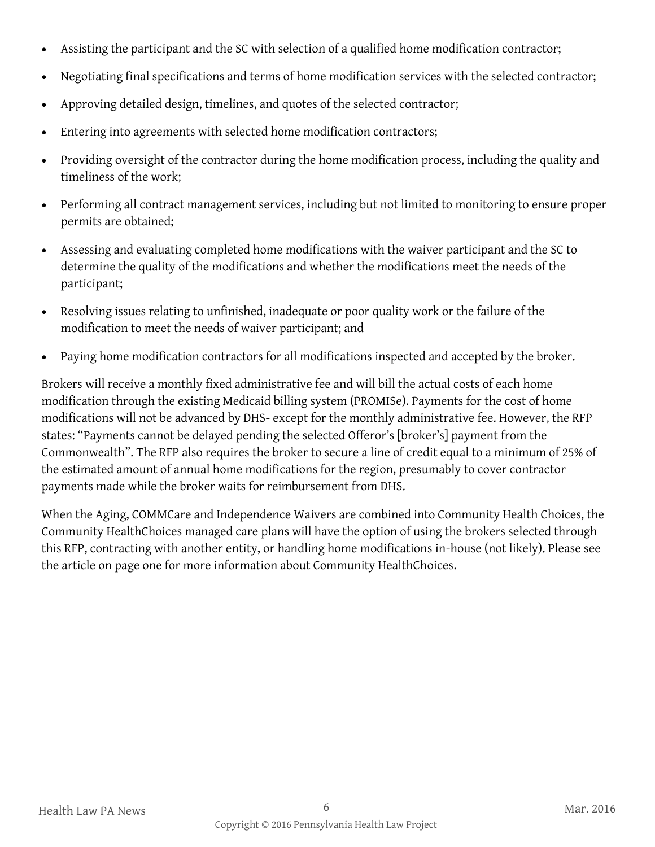- Assisting the participant and the SC with selection of a qualified home modification contractor;
- Negotiating final specifications and terms of home modification services with the selected contractor;
- Approving detailed design, timelines, and quotes of the selected contractor;
- Entering into agreements with selected home modification contractors;
- Providing oversight of the contractor during the home modification process, including the quality and timeliness of the work;
- Performing all contract management services, including but not limited to monitoring to ensure proper permits are obtained;
- Assessing and evaluating completed home modifications with the waiver participant and the SC to determine the quality of the modifications and whether the modifications meet the needs of the participant;
- Resolving issues relating to unfinished, inadequate or poor quality work or the failure of the modification to meet the needs of waiver participant; and
- Paying home modification contractors for all modifications inspected and accepted by the broker.

Brokers will receive a monthly fixed administrative fee and will bill the actual costs of each home modification through the existing Medicaid billing system (PROMISe). Payments for the cost of home modifications will not be advanced by DHS- except for the monthly administrative fee. However, the RFP states: "Payments cannot be delayed pending the selected Offeror's [broker's] payment from the Commonwealth". The RFP also requires the broker to secure a line of credit equal to a minimum of 25% of the estimated amount of annual home modifications for the region, presumably to cover contractor payments made while the broker waits for reimbursement from DHS.

When the Aging, COMMCare and Independence Waivers are combined into Community Health Choices, the Community HealthChoices managed care plans will have the option of using the brokers selected through this RFP, contracting with another entity, or handling home modifications in-house (not likely). Please see the article on page one for more information about Community HealthChoices.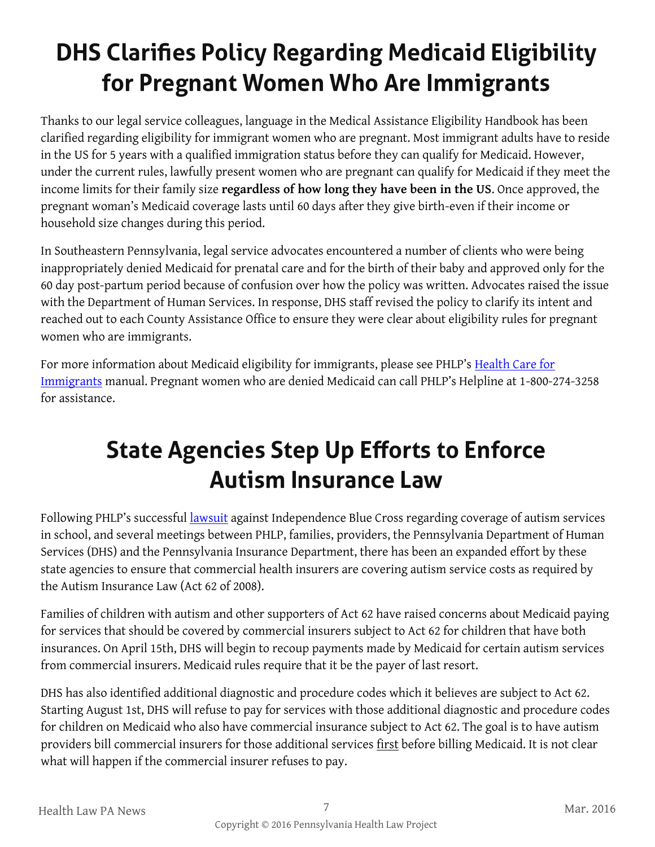# **DHS Clarifies Policy Regarding Medicaid Eligibility for Pregnant Women Who Are Immigrants**

Thanks to our legal service colleagues, language in the Medical Assistance Eligibility Handbook has been clarified regarding eligibility for immigrant women who are pregnant. Most immigrant adults have to reside in the US for 5 years with a qualified immigration status before they can qualify for Medicaid. However, under the current rules, lawfully present women who are pregnant can qualify for Medicaid if they meet the income limits for their family size **regardless of how long they have been in the US**. Once approved, the pregnant woman's Medicaid coverage lasts until 60 days after they give birth-even if their income or household size changes during this period.

In Southeastern Pennsylvania, legal service advocates encountered a number of clients who were being inappropriately denied Medicaid for prenatal care and for the birth of their baby and approved only for the 60 day post-partum period because of confusion over how the policy was written. Advocates raised the issue with the Department of Human Services. In response, DHS staff revised the policy to clarify its intent and reached out to each County Assistance Office to ensure they were clear about eligibility rules for pregnant women who are immigrants.

For more information about Medicaid eligibility for immigrants, please see PHLP's [Health Care for](http://www.phlp.org/wp-content/uploads/2016/02/Immigrant-Health-Care-Manual-For-Advocates-2016.pdf)  [Immigrants](http://www.phlp.org/wp-content/uploads/2016/02/Immigrant-Health-Care-Manual-For-Advocates-2016.pdf) manual. Pregnant women who are denied Medicaid can call PHLP's Helpline at 1-800-274-3258 for assistance.

## **State Agencies Step Up Efforts to Enforce Autism Insurance Law**

Following PHLP's successful [lawsuit](http://www.phlp.org/wp-content/uploads/2015/11/November-2015-HLN-final.pdf) against Independence Blue Cross regarding coverage of autism services in school, and several meetings between PHLP, families, providers, the Pennsylvania Department of Human Services (DHS) and the Pennsylvania Insurance Department, there has been an expanded effort by these state agencies to ensure that commercial health insurers are covering autism service costs as required by the Autism Insurance Law (Act 62 of 2008).

Families of children with autism and other supporters of Act 62 have raised concerns about Medicaid paying for services that should be covered by commercial insurers subject to Act 62 for children that have both insurances. On April 15th, DHS will begin to recoup payments made by Medicaid for certain autism services from commercial insurers. Medicaid rules require that it be the payer of last resort.

DHS has also identified additional diagnostic and procedure codes which it believes are subject to Act 62. Starting August 1st, DHS will refuse to pay for services with those additional diagnostic and procedure codes for children on Medicaid who also have commercial insurance subject to Act 62. The goal is to have autism providers bill commercial insurers for those additional services first before billing Medicaid. It is not clear what will happen if the commercial insurer refuses to pay.